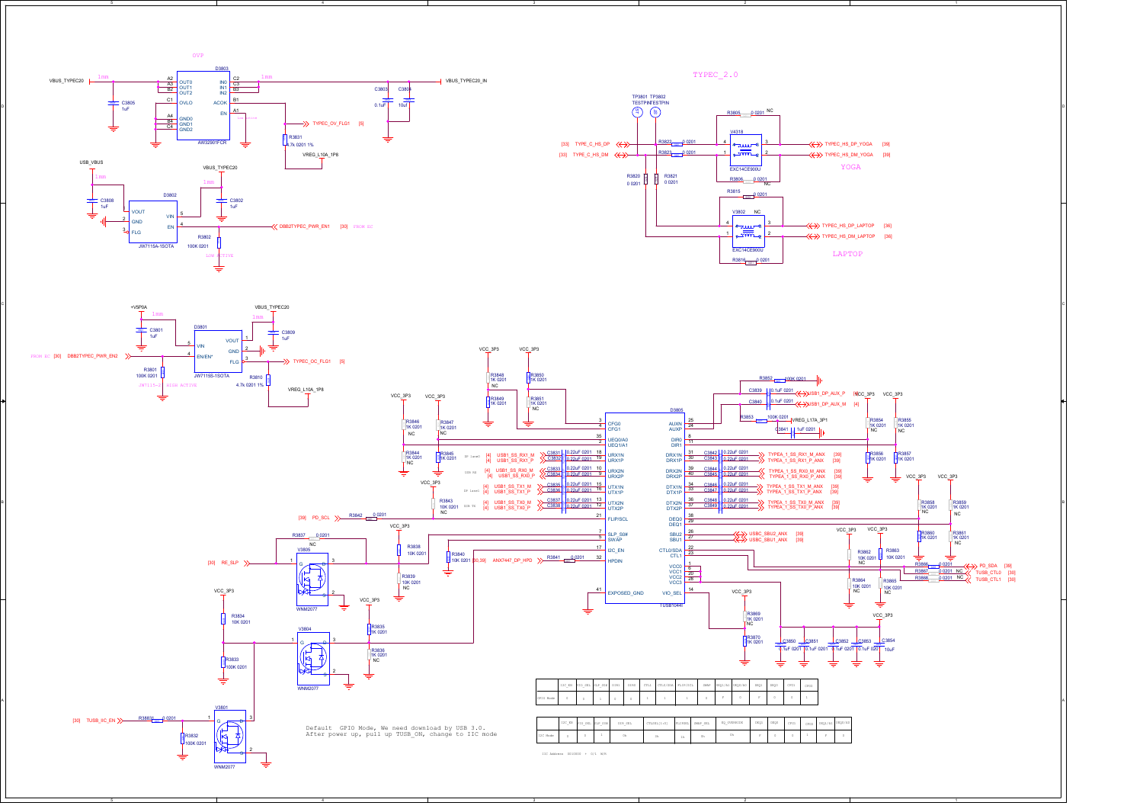